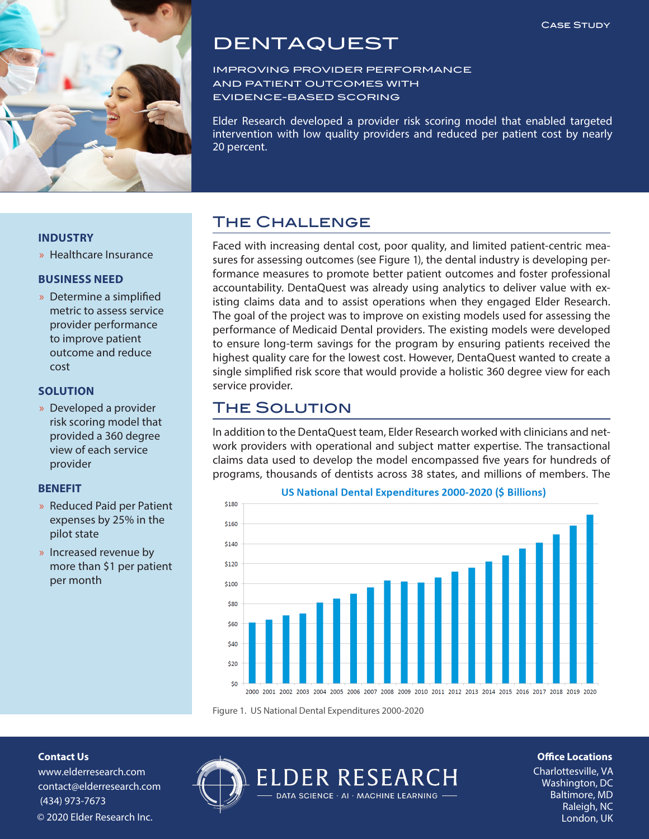

# DENTAQUEST

IMPROVING PROVIDER PERFORMANCE AND PATIENT OUTCOMES WITH EVIDENCE‐BASED SCORING

Elder Research developed a provider risk scoring model that enabled targeted intervention with low quality providers and reduced per patient cost by nearly 20 percent.

### **INDUSTRY**

» Healthcare Insurance

### **BUSINESS NEED**

» Determine a simplified metric to assess service provider performance to improve patient outcome and reduce cost

### **SOLUTION**

» Developed a provider risk scoring model that provided a 360 degree view of each service provider

### **BENEFIT**

- » Reduced Paid per Patient expenses by 25% in the pilot state
- » Increased revenue by more than \$1 per patient per month

# The Challenge

Faced with increasing dental cost, poor quality, and limited patient-centric measures for assessing outcomes (see Figure 1), the dental industry is developing performance measures to promote better patient outcomes and foster professional accountability. DentaQuest was already using analytics to deliver value with existing claims data and to assist operations when they engaged Elder Research. The goal of the project was to improve on existing models used for assessing the performance of Medicaid Dental providers. The existing models were developed to ensure long-term savings for the program by ensuring patients received the highest quality care for the lowest cost. However, DentaQuest wanted to create a single simplified risk score that would provide a holistic 360 degree view for each service provider.

# The Solution

In addition to the DentaQuest team, Elder Research worked with clinicians and network providers with operational and subject matter expertise. The transactional claims data used to develop the model encompassed five years for hundreds of programs, thousands of dentists across 38 states, and millions of members. The



#### US National Dental Expenditures 2000-2020 (\$ Billions)

Figure 1. US National Dental Expenditures 2000-2020

**Contact Us**

www.elderresearch.com contact@elderresearch.com (434) 973-7673 © 2020 Elder Research Inc.



# **Office Locations**

Charlottesville, VA Washington, DC Baltimore, MD Raleigh, NC<br>London, UK